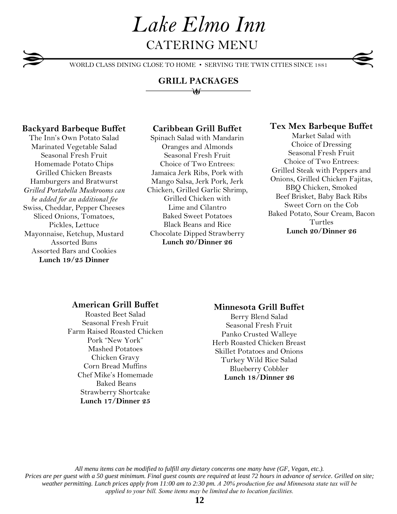# *Lake Elmo Inn* CATERING MENU

WORLD CLASS DINING CLOSE TO HOME • SERVING THE TWIN CITIES SINCE 1881

## **GRILL PACKAGES**

 $\longrightarrow \mathcal{U}$ 

### **Backyard Barbeque Buffet**

The Inn's Own Potato Salad Marinated Vegetable Salad Seasonal Fresh Fruit Homemade Potato Chips Grilled Chicken Breasts Hamburgers and Bratwurst *Grilled Portabella Mushrooms can be added for an additional fee* Swiss, Cheddar, Pepper Cheeses Sliced Onions, Tomatoes, Pickles, Lettuce Mayonnaise, Ketchup, Mustard Assorted Buns Assorted Bars and Cookies **Lunch 19/25 Dinner**

# **Caribbean Grill Buffet**

Spinach Salad with Mandarin Oranges and Almonds Seasonal Fresh Fruit Choice of Two Entrees: Jamaica Jerk Ribs, Pork with Mango Salsa, Jerk Pork, Jerk Chicken, Grilled Garlic Shrimp, Grilled Chicken with Lime and Cilantro Baked Sweet Potatoes Black Beans and Rice Chocolate Dipped Strawberry **Lunch 20/Dinner 26**

## **Tex Mex Barbeque Buffet**

Market Salad with Choice of Dressing Seasonal Fresh Fruit Choice of Two Entrees: Grilled Steak with Peppers and Onions, Grilled Chicken Fajitas, BBQ Chicken, Smoked Beef Brisket, Baby Back Ribs Sweet Corn on the Cob Baked Potato, Sour Cream, Bacon Turtles **Lunch 20/Dinner 26**

### **American Grill Buffet**

Roasted Beet Salad Seasonal Fresh Fruit Farm Raised Roasted Chicken Pork "New York" Mashed Potatoes Chicken Gravy Corn Bread Muffins Chef Mike's Homemade Baked Beans Strawberry Shortcake **Lunch 17/Dinner 25**

## **Minnesota Grill Buffet**

Berry Blend Salad Seasonal Fresh Fruit Panko Crusted Walleye Herb Roasted Chicken Breast Skillet Potatoes and Onions Turkey Wild Rice Salad Blueberry Cobbler **Lunch 18/Dinner 26**

*All menu items can be modified to fulfill any dietary concerns one many have (GF, Vegan, etc.). Prices are per guest with a 50 guest minimum. Final guest counts are required at least 72 hours in advance of service. Grilled on site; weather permitting. Lunch prices apply from 11:00 am to 2:30 pm. A 20% production fee and Minnesota state tax will be applied to your bill. Some items may be limited due to location facilities.*

# **12**